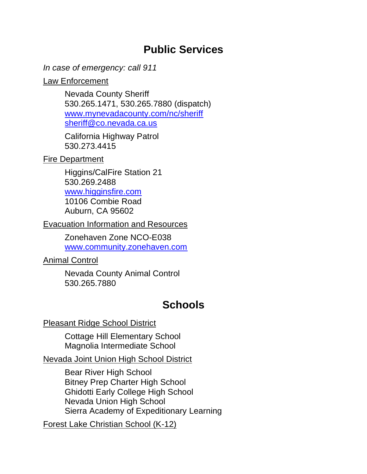# **Public Services**

*In case of emergency: call 911*

### Law Enforcement

Nevada County Sheriff 530.265.1471, 530.265.7880 (dispatch) <www.mynevadacounty.com/nc/sheriff> [sheriff@co.nevada.ca.us](mailto:sheriff@co.nevada.ca.us)

California Highway Patrol 530.273.4415

# **Fire Department**

Higgins/CalFire Station 21 530.269.2488 [www.higginsfire.com](http://www.higginsfire.com/) 10106 Combie Road

Auburn, CA 95602

# Evacuation Information and Resources

Zonehaven Zone NCO-E038 [www.community.zonehaven.com](http://www.community.zonehaven.com/)

# Animal Control

Nevada County Animal Control 530.265.7880

# **Schools**

# Pleasant Ridge School District

Cottage Hill Elementary School Magnolia Intermediate School

Nevada Joint Union High School District

Bear River High School Bitney Prep Charter High School Ghidotti Early College High School Nevada Union High School Sierra Academy of Expeditionary Learning

Forest Lake Christian School (K-12)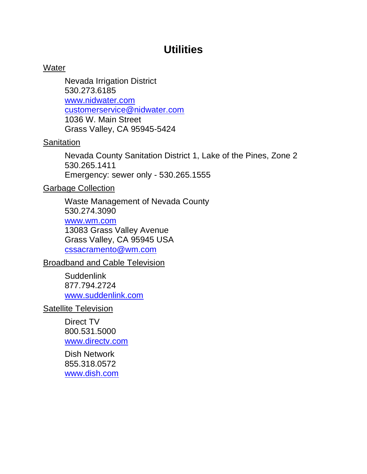# **Utilities**

### **Water**

Nevada Irrigation District 530.273.6185 [www.nidwater.com](http://www.nidwater.com/) [customerservice@nidwater.com](mailto:customerservice@nidwater.com) 1036 W. Main Street Grass Valley, CA 95945-5424

# **Sanitation**

Nevada County Sanitation District 1, Lake of the Pines, Zone 2 530.265.1411 Emergency: sewer only - 530.265.1555

# Garbage Collection

Waste Management of Nevada County 530.274.3090

#### [www.wm.com](http://www.wm.com/)

13083 Grass Valley Avenue Grass Valley, CA 95945 USA [cssacramento@wm.com](mailto:cssacramento@wm.com)

# Broadband and Cable Television

**Suddenlink** [877.794.2724](tel:8777942724) [www.suddenlink.com](http://www.suddenlink.com/)

# **Satellite Television**

Direct TV 800.531.5000 [www.directv.com](http://www.directv.com/)

Dish Network 855.318.0572 [www.dish.com](http://www.dish.com/)